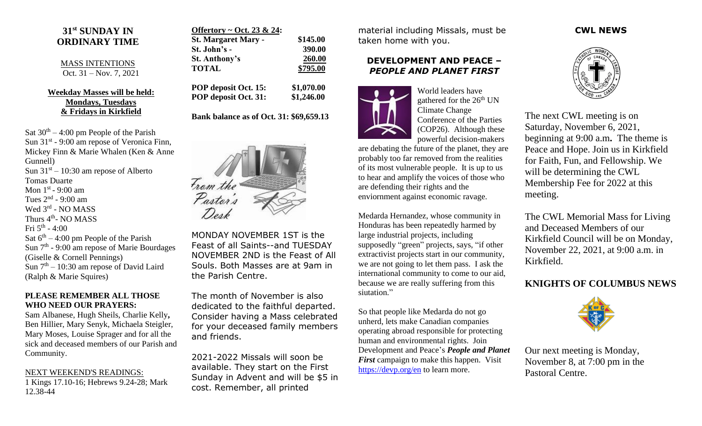# **31 st SUNDAY IN ORDINARY TIME**

#### MASS INTENTIONS Oct. 31 – Nov. 7, 2021

### **Weekday Masses will be held: Mondays, Tuesdays & Fridays in Kirkfield**

Sat  $30<sup>th</sup> - 4:00$  pm People of the Parish Sun  $31<sup>st</sup>$  - 9:00 am repose of Veronica Finn, Mickey Finn & Marie Whalen (Ken & Anne Gunnell) Sun  $31<sup>st</sup> - 10:30$  am repose of Alberto Tomas Duarte Mon  $1<sup>st</sup>$  - 9:00 am Tues  $2<sup>nd</sup>$  - 9:00 am Wed 3rd - NO MASS Thurs 4<sup>th</sup>- NO MASS Fri 5 th - 4:00 Sat  $6<sup>th</sup> - 4:00$  pm People of the Parish Sun 7<sup>th</sup> - 9:00 am repose of Marie Bourdages (Giselle & Cornell Pennings) Sun  $7<sup>th</sup> - 10:30$  am repose of David Laird (Ralph & Marie Squires)

#### **PLEASE REMEMBER ALL THOSE WHO NEED OUR PRAYERS:**

Sam Albanese, Hugh Sheils, Charlie Kelly**,**  Ben Hillier, Mary Senyk, Michaela Steigler, Mary Moses, Louise Sprager and for all the sick and deceased members of our Parish and Community.

### NEXT WEEKEND'S READINGS:

1 Kings 17.10-16; Hebrews 9.24-28; Mark 12.38-44

| \$145.00 |
|----------|
| 390.00   |
| 260.00   |
| \$795.00 |
|          |

**POP deposit Oct. 15: \$1,070.00 POP deposit Oct. 31: \$1,246.00**

## **Bank balance as of Oct. 31: \$69,659.13**



MONDAY NOVEMBER 1ST is the Feast of all Saints--and TUESDAY NOVEMBER 2ND is the Feast of All Souls. Both Masses are at 9am in the Parish Centre.

The month of November is also dedicated to the faithful departed. Consider having a Mass celebrated for your deceased family members and friends.

2021-2022 Missals will soon be available. They start on the First Sunday in Advent and will be \$5 in cost. Remember, all printed

material including Missals, must be taken home with you.

## **DEVELOPMENT AND PEACE –** *PEOPLE AND PLANET FIRST*



World leaders have gathered for the 26<sup>th</sup> UN Climate Change Conference of the Parties (COP26). Although these powerful decision-makers

are debating the future of the planet, they are probably too far removed from the realities of its most vulnerable people. It is up to us to hear and amplify the voices of those who are defending their rights and the enviornment against economic ravage.

Medarda Hernandez, whose community in Honduras has been repeatedly harmed by large industrial projects, including supposedly "green" projects, says, "if other extractivist projects start in our community, we are not going to let them pass. I ask the international community to come to our aid, because we are really suffering from this siutation."

So that people like Medarda do not go unherd, lets make Canadian companies operating abroad responsible for protecting human and environmental rights. Join Development and Peace's *People and Planet First* campaign to make this happen. Visit <https://devp.org/en> to learn more.

## **CWL NEWS**



The next CWL meeting is on Saturday, November 6, 2021, beginning at 9:00 a.m**.** The theme is Peace and Hope. Join us in Kirkfield for Faith, Fun, and Fellowship. We will be determining the CWL Membership Fee for 2022 at this meeting.

The CWL Memorial Mass for Living and Deceased Members of our Kirkfield Council will be on Monday, November 22, 2021, at 9:00 a.m. in Kirkfield.

# **KNIGHTS OF COLUMBUS NEWS**



Our next meeting is Monday, November 8, at 7:00 pm in the Pastoral Centre.